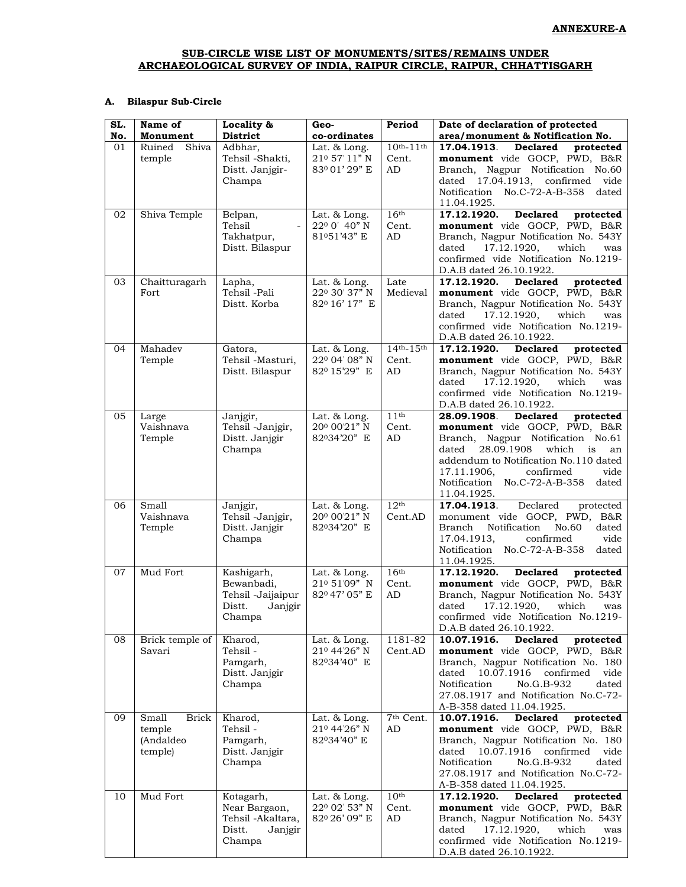### SUB-CIRCLE WISE LIST OF MONUMENTS/SITES/REMAINS UNDER ARCHAEOLOGICAL SURVEY OF INDIA, RAIPUR CIRCLE, RAIPUR, CHHATTISGARH

### A. Bilaspur Sub-Circle

| SL. | Name of               | Locality &        | Geo-          | Period              | Date of declaration of protected                |
|-----|-----------------------|-------------------|---------------|---------------------|-------------------------------------------------|
| No. | Monument              | <b>District</b>   | co-ordinates  |                     | area/monument & Notification No.                |
| 01  | Ruined<br>Shiva       | Adbhar,           | Lat. & Long.  | $10^{th} - 11^{th}$ | <b>Declared</b><br>17.04.1913.<br>protected     |
|     | temple                | Tehsil -Shakti,   | 210 57'11" N  | Cent.               | monument vide GOCP, PWD, B&R                    |
|     |                       | Distt. Janjgir-   | 83001'29" E   | AD                  | Branch, Nagpur Notification No.60               |
|     |                       | Champa            |               |                     | dated 17.04.1913, confirmed vide                |
|     |                       |                   |               |                     | Notification No.C-72-A-B-358<br>dated           |
|     |                       |                   |               |                     | 11.04.1925.                                     |
| 02  | Shiva Temple          | Belpan,           | Lat. & Long.  | 16 <sup>th</sup>    | <b>Declared</b><br>17.12.1920.<br>protected     |
|     |                       | Tehsil            | 220 0' 40" N  | Cent.               | monument vide GOCP, PWD, B&R                    |
|     |                       | Takhatpur,        | 81051'43" E   | AD                  | Branch, Nagpur Notification No. 543Y            |
|     |                       | Distt. Bilaspur   |               |                     | 17.12.1920,<br>which<br>dated<br>was            |
|     |                       |                   |               |                     | confirmed vide Notification No.1219-            |
|     |                       |                   |               |                     | D.A.B dated 26.10.1922.                         |
| 03  | Chaitturagarh         | Lapha,            | Lat. & Long.  | Late                | 17.12.1920.<br><b>Declared</b><br>protected     |
|     | Fort                  | Tehsil -Pali      | 220 30' 37" N | Medieval            | monument vide GOCP, PWD, B&R                    |
|     |                       | Distt. Korba      | 820 16' 17" E |                     | Branch, Nagpur Notification No. 543Y            |
|     |                       |                   |               |                     | 17.12.1920,<br>which<br>dated<br>was            |
|     |                       |                   |               |                     | confirmed vide Notification No.1219-            |
|     |                       |                   |               |                     | D.A.B dated 26.10.1922.                         |
| 04  | Mahadev               | Gatora,           | Lat. & Long.  | $14th-15th$         | 17.12.1920.<br><b>Declared</b><br>protected     |
|     | Temple                | Tehsil -Masturi,  | 220 04' 08" N | Cent.               | monument vide GOCP, PWD, B&R                    |
|     |                       | Distt. Bilaspur   | 820 15'29" E  | AD                  | Branch, Nagpur Notification No. 543Y            |
|     |                       |                   |               |                     | 17.12.1920,<br>which<br>dated<br>was            |
|     |                       |                   |               |                     | confirmed vide Notification No.1219-            |
|     |                       |                   |               |                     | D.A.B dated 26.10.1922.                         |
| 05  | Large                 | Janjgir,          | Lat. & Long.  | 11 <sup>th</sup>    | 28.09.1908.<br><b>Declared</b><br>protected     |
|     | Vaishnava             | Tehsil -Janjgir,  | 200 00'21" N  | Cent.               | monument vide GOCP, PWD, B&R                    |
|     | Temple                | Distt. Janjgir    | 82034'20" E   | AD                  | Branch, Nagpur Notification No.61               |
|     |                       | Champa            |               |                     | 28.09.1908<br>which<br>dated<br>an<br>is        |
|     |                       |                   |               |                     | addendum to Notification No.110 dated           |
|     |                       |                   |               |                     | vide<br>17.11.1906,<br>confirmed                |
|     |                       |                   |               |                     | Notification No.C-72-A-B-358<br>dated           |
|     |                       |                   |               |                     | 11.04.1925.                                     |
| 06  | Small                 | Janjgir,          | Lat. & Long.  | 12 <sup>th</sup>    | Declared<br>17.04.1913.<br>protected            |
|     | Vaishnava             | Tehsil -Janjgir,  | 200 00'21" N  | Cent.AD             | monument vide GOCP, PWD, B&R                    |
|     | Temple                | Distt. Janjgir    | 82034'20" E   |                     | <b>Branch</b><br>Notification<br>No.60<br>dated |
|     |                       | Champa            |               |                     | confirmed<br>17.04.1913,<br>vide                |
|     |                       |                   |               |                     | Notification No.C-72-A-B-358<br>dated           |
|     |                       |                   |               |                     | 11.04.1925.                                     |
| 07  | Mud Fort              | Kashigarh,        | Lat. & Long.  | 16 <sup>th</sup>    | <b>Declared</b><br>17.12.1920.<br>protected     |
|     |                       | Bewanbadi,        | 21º 51'09" N  | Cent.               | monument vide GOCP, PWD, B&R                    |
|     |                       | Tehsil -Jaijaipur | 820 47' 05" E | AD                  | Branch, Nagpur Notification No. 543Y            |
|     |                       | Distt.<br>Janjgir |               |                     | 17.12.1920,<br>which<br>dated<br>was            |
|     |                       | Champa            |               |                     | confirmed vide Notification No.1219-            |
|     |                       |                   |               |                     | D.A.B dated 26.10.1922.                         |
| 08  | Brick temple of       | Kharod,           | Lat. & Long.  | 1181-82             | 10.07.1916.<br><b>Declared</b><br>protected     |
|     | Savari                | Tehsil-           | 210 44'26" N  | Cent.AD             | monument vide GOCP, PWD, B&R                    |
|     |                       | Pamgarh,          | 82034'40" E   |                     | Branch, Nagpur Notification No. 180             |
|     |                       | Distt. Janjgir    |               |                     | 10.07.1916<br>confirmed vide<br>dated           |
|     |                       | Champa            |               |                     | Notification<br>No.G.B-932<br>dated             |
|     |                       |                   |               |                     | 27.08.1917 and Notification No.C-72-            |
|     |                       |                   |               |                     | A-B-358 dated 11.04.1925.                       |
| 09  | Small<br><b>Brick</b> | Kharod,           | Lat. & Long.  | $7th$ Cent.         | 10.07.1916.<br><b>Declared</b><br>protected     |
|     | temple                | Tehsil -          | 210 44'26" N  | AD                  | monument vide GOCP, PWD, B&R                    |
|     | (Andaldeo             | Pamgarh,          | 82034'40" E   |                     | Branch, Nagpur Notification No. 180             |
|     | temple)               | Distt. Janjgir    |               |                     | 10.07.1916<br>confirmed<br>vide<br>dated        |
|     |                       | Champa            |               |                     | Notification<br>dated<br>No.G.B-932             |
|     |                       |                   |               |                     | 27.08.1917 and Notification No.C-72-            |
|     |                       |                   |               |                     | A-B-358 dated 11.04.1925.                       |
| 10  | Mud Fort              | Kotagarh,         | Lat. & Long.  | 10 <sup>th</sup>    | <b>Declared</b><br>17.12.1920.<br>protected     |
|     |                       | Near Bargaon,     | 220 02' 53" N | Cent.               | monument vide GOCP, PWD, B&R                    |
|     |                       | Tehsil -Akaltara, | 820 26' 09" E | AD                  | Branch, Nagpur Notification No. 543Y            |
|     |                       | Distt.<br>Janjgir |               |                     | dated<br>17.12.1920,<br>which<br>was            |
|     |                       | Champa            |               |                     | confirmed vide Notification No.1219-            |
|     |                       |                   |               |                     | D.A.B dated 26.10.1922.                         |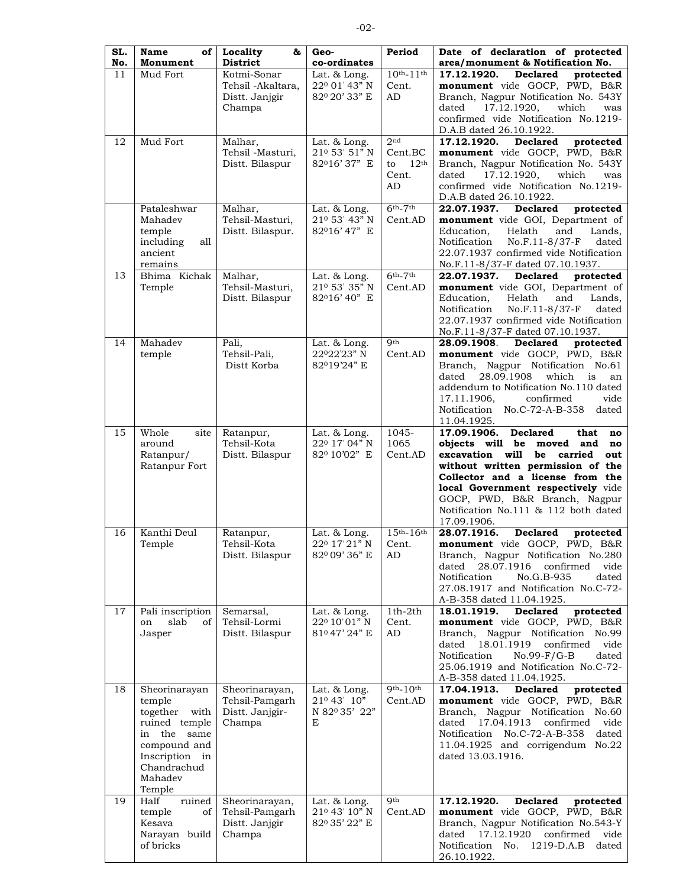| SL. | Name<br>of                           | Locality<br>&                       | Geo-                                         | Period                            | Date of declaration of protected                                            |
|-----|--------------------------------------|-------------------------------------|----------------------------------------------|-----------------------------------|-----------------------------------------------------------------------------|
| No. | Monument                             | <b>District</b>                     | co-ordinates                                 |                                   | area/monument & Notification No.                                            |
| 11  | Mud Fort                             | Kotmi-Sonar<br>Tehsil -Akaltara,    | Lat. & Long.<br>220 01' 43" N                | $10^{th} - 11^{th}$<br>Cent.      | 17.12.1920.<br><b>Declared</b><br>protected<br>monument vide GOCP, PWD, B&R |
|     |                                      | Distt. Janjgir                      | 820 20' 33" E                                | AD                                | Branch, Nagpur Notification No. 543Y                                        |
|     |                                      | Champa                              |                                              |                                   | 17.12.1920,<br>which<br>dated<br>was                                        |
|     |                                      |                                     |                                              |                                   | confirmed vide Notification No.1219-                                        |
|     |                                      |                                     |                                              |                                   | D.A.B dated 26.10.1922.                                                     |
| 12  | Mud Fort                             | Malhar,                             | Lat. & Long.                                 | 2 <sub>nd</sub>                   | 17.12.1920.<br><b>Declared</b><br>protected                                 |
|     |                                      | Tehsil -Masturi,<br>Distt. Bilaspur | 21º 53' 51" N<br>82016'37" E                 | Cent.BC<br>12 <sup>th</sup><br>to | monument vide GOCP, PWD, B&R<br>Branch, Nagpur Notification No. 543Y        |
|     |                                      |                                     |                                              | Cent.                             | 17.12.1920,<br>which<br>dated<br>was                                        |
|     |                                      |                                     |                                              | AD                                | confirmed vide Notification No.1219-                                        |
|     |                                      |                                     |                                              |                                   | D.A.B dated 26.10.1922.                                                     |
|     | Pataleshwar                          | Malhar,                             | Lat. & Long.                                 | $6th-7th$                         | 22.07.1937.<br><b>Declared</b><br>protected                                 |
|     | Mahadev<br>temple                    | Tehsil-Masturi,<br>Distt. Bilaspur. | 210 53' 43" N<br>82016'47" E                 | Cent.AD                           | monument vide GOI, Department of<br>Education,<br>Helath<br>and<br>Lands,   |
|     | including<br>all                     |                                     |                                              |                                   | Notification<br>No.F.11-8/37-F<br>dated                                     |
|     | ancient                              |                                     |                                              |                                   | 22.07.1937 confirmed vide Notification                                      |
|     | remains                              |                                     |                                              |                                   | No.F.11-8/37-F dated 07.10.1937.                                            |
| 13  | Bhima Kichak                         | Malhar,                             | Lat. & Long.                                 | $6th-7th$                         | 22.07.1937.<br><b>Declared</b><br>protected                                 |
|     | Temple                               | Tehsil-Masturi,<br>Distt. Bilaspur  | 21º 53' 35" N<br>82016'40" E                 | Cent.AD                           | monument vide GOI, Department of<br>Education,<br>Helath<br>and<br>Lands.   |
|     |                                      |                                     |                                              |                                   | Notification<br>No.F.11-8/37-F<br>dated                                     |
|     |                                      |                                     |                                              |                                   | 22.07.1937 confirmed vide Notification                                      |
|     |                                      |                                     |                                              |                                   | No.F.11-8/37-F dated 07.10.1937.                                            |
| 14  | Mahadev                              | Pali,                               | Lat. & Long.<br>22022'23" N                  | Qth<br>Cent.AD                    | 28.09.1908.<br><b>Declared</b><br>protected                                 |
|     | temple                               | Tehsil-Pali,<br>Distt Korba         | 82019'24" E                                  |                                   | monument vide GOCP, PWD, B&R<br>Branch, Nagpur Notification No.61           |
|     |                                      |                                     |                                              |                                   | 28.09.1908<br>which<br>dated<br>is<br>an                                    |
|     |                                      |                                     |                                              |                                   | addendum to Notification No.110 dated                                       |
|     |                                      |                                     |                                              |                                   | confirmed<br>vide<br>17.11.1906,                                            |
|     |                                      |                                     |                                              |                                   | Notification No.C-72-A-B-358<br>dated                                       |
| 15  | Whole<br>site                        | Ratanpur,                           | Lat. & Long.                                 | 1045-                             | 11.04.1925.<br>17.09.1906.<br><b>Declared</b><br>that<br>no                 |
|     | around                               | Tehsil-Kota                         | 220 17' 04" N                                | 1065                              | objects will be moved and<br>no                                             |
|     | Ratanpur/                            | Distt. Bilaspur                     | 820 10'02" E                                 | Cent.AD                           | excavation will<br>carried<br>be<br>out                                     |
|     | Ratanpur Fort                        |                                     |                                              |                                   | without written permission of the                                           |
|     |                                      |                                     |                                              |                                   | Collector and a license from the<br>local Government respectively vide      |
|     |                                      |                                     |                                              |                                   | GOCP, PWD, B&R Branch, Nagpur                                               |
|     |                                      |                                     |                                              |                                   | Notification No.111 & 112 both dated                                        |
|     |                                      |                                     |                                              |                                   | 17.09.1906.                                                                 |
| 16  | Kanthi Deul<br>Temple                | Ratanpur,<br>Tehsil-Kota            | Lat. & Long.<br>220 17'21"N                  | $15^{th} - 16^{th}$<br>Cent.      | 28.07.1916.<br><b>Declared</b><br>protected<br>monument vide GOCP, PWD, B&R |
|     |                                      | Distt. Bilaspur                     | 820 09' 36" E                                | AD                                | Branch, Nagpur Notification No.280                                          |
|     |                                      |                                     |                                              |                                   | 28.07.1916<br>dated<br>confirmed<br>vide                                    |
|     |                                      |                                     |                                              |                                   | Notification<br>No.G.B-935<br>dated                                         |
|     |                                      |                                     |                                              |                                   | 27.08.1917 and Notification No.C-72-                                        |
| 17  |                                      | Semarsal,                           | Lat. & Long.                                 | $1th-2th$                         | A-B-358 dated 11.04.1925.<br>18.01.1919.<br><b>Declared</b><br>protected    |
|     | Pali inscription<br>slab<br>of<br>on | Tehsil-Lormi                        | 22º 10'01" N                                 | Cent.                             | monument vide GOCP, PWD, B&R                                                |
|     | Jasper                               | Distt. Bilaspur                     | 810 47' 24" E                                | AD                                | Branch, Nagpur Notification No.99                                           |
|     |                                      |                                     |                                              |                                   | 18.01.1919<br>confirmed<br>vide<br>dated                                    |
|     |                                      |                                     |                                              |                                   | Notification<br>$No.99-F/G-B$<br>dated                                      |
|     |                                      |                                     |                                              |                                   | 25.06.1919 and Notification No.C-72-                                        |
| 18  | Sheorinarayan                        | Sheorinarayan,                      | Lat. & Long.                                 | $9th-10th$                        | A-B-358 dated 11.04.1925.<br><b>Declared</b><br>17.04.1913.<br>protected    |
|     | temple                               | Tehsil-Pamgarh                      | 210 43' 10"                                  | Cent.AD                           | monument vide GOCP, PWD, B&R                                                |
|     | together with                        | Distt. Janjgir-                     | N 820 35' 22"                                |                                   | Branch, Nagpur Notification No.60                                           |
|     | ruined temple                        | Champa                              | E                                            |                                   | 17.04.1913<br>vide<br>dated<br>confirmed                                    |
|     | in the same<br>compound and          |                                     |                                              |                                   | Notification No.C-72-A-B-358<br>dated<br>11.04.1925 and corrigendum No.22   |
|     | Inscription<br>in                    |                                     |                                              |                                   | dated 13.03.1916.                                                           |
|     | Chandrachud                          |                                     |                                              |                                   |                                                                             |
|     | Mahadev                              |                                     |                                              |                                   |                                                                             |
|     | Temple                               |                                     |                                              |                                   |                                                                             |
| 19  | Half<br>ruined<br>temple             | Sheorinarayan,<br>Tehsil-Pamgarh    | Lat. $\&$ Long.<br>21 <sup>0</sup> 43' 10" N | <b>Oth</b><br>Cent.AD             | 17.12.1920.<br><b>Declared</b><br>protected<br>monument vide GOCP, PWD, B&R |
|     | of<br>Kesava                         | Distt. Janjgir                      | 820 35' 22" E                                |                                   | Branch, Nagpur Notification No.543-Y                                        |
|     | Narayan build                        | Champa                              |                                              |                                   | dated 17.12.1920<br>confirmed vide                                          |
|     | of bricks                            |                                     |                                              |                                   | Notification No. 1219-D.A.B<br>dated                                        |
|     |                                      |                                     |                                              |                                   | 26.10.1922.                                                                 |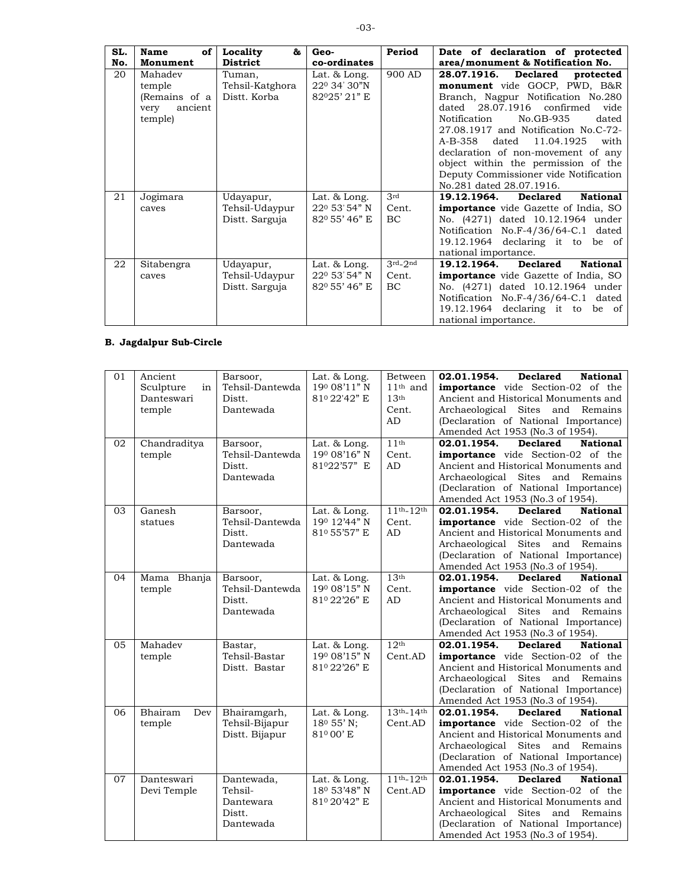| SL. | Name<br>of                                                       | Locality<br>&                             | Geo-                                        | Period       | Date of declaration of protected                                                                                                                                                                                                                                                                                                                                                                                        |
|-----|------------------------------------------------------------------|-------------------------------------------|---------------------------------------------|--------------|-------------------------------------------------------------------------------------------------------------------------------------------------------------------------------------------------------------------------------------------------------------------------------------------------------------------------------------------------------------------------------------------------------------------------|
| No. | Monument                                                         | <b>District</b>                           | co-ordinates                                |              | area/monument & Notification No.                                                                                                                                                                                                                                                                                                                                                                                        |
| 20  | Mahadev<br>temple<br>(Remains of a<br>ancient<br>very<br>temple) | Tuman,<br>Tehsil-Katghora<br>Distt. Korba | Lat. & Long.<br>220 34' 30"N<br>82025'21" E | 900 AD       | Declared protected<br>28.07.1916.<br>monument vide GOCP, PWD, B&R<br>Branch, Nagpur Notification No.280<br>$data$ $28.07.1916$ confirmed<br>vide<br>No.GB-935<br>Notification<br>dated<br>27.08.1917 and Notification No.C-72-<br>A-B-358 dated<br>11.04.1925<br>with<br>declaration of non-movement of any<br>object within the permission of the<br>Deputy Commissioner vide Notification<br>No.281 dated 28.07.1916. |
| 21  | Jogimara                                                         | Udayapur,                                 | Lat. & Long.                                | 3rd          | <b>National</b><br>19.12.1964.<br><b>Declared</b>                                                                                                                                                                                                                                                                                                                                                                       |
|     | caves                                                            | Tehsil-Udaypur<br>Distt. Sarguja          | 220 53' 54" N<br>820 55' 46" E              | Cent.<br>BC. | <b>importance</b> vide Gazette of India, SO<br>No. (4271) dated 10.12.1964 under<br>Notification No.F-4/36/64-C.1 dated<br>19.12.1964 declaring it to be of<br>national importance.                                                                                                                                                                                                                                     |
| 22  | Sitabengra                                                       | Udayapur,                                 | Lat. & Long.                                | $3rd-2nd$    | <b>National</b><br>19.12.1964.<br><b>Declared</b>                                                                                                                                                                                                                                                                                                                                                                       |
|     | caves                                                            | Tehsil-Udaypur<br>Distt. Sarguja          | $22^{\circ}$ 53' 54" N<br>820 55' 46" E     | Cent.<br>BC. | <b>importance</b> vide Gazette of India, SO<br>No. (4271) dated 10.12.1964 under<br>Notification No.F-4/36/64-C.1 dated<br>19.12.1964 declaring it to be of<br>national importance                                                                                                                                                                                                                                      |

# **B.** Jagdalpur Sub-Circle

| 01 | Ancient         | Barsoor,        | Lat. & Long.           | Between          | <b>Declared</b><br>02.01.1954.<br><b>National</b> |
|----|-----------------|-----------------|------------------------|------------------|---------------------------------------------------|
|    | Sculpture<br>in | Tehsil-Dantewda | 190 08'11" N           | $11th$ and       | <b>importance</b> vide Section-02 of the          |
|    | Danteswari      | Distt.          | 81º 22'42" E           | 13 <sup>th</sup> | Ancient and Historical Monuments and              |
|    | temple          | Dantewada       |                        | Cent.            | Archaeological Sites and Remains                  |
|    |                 |                 |                        | AD               | (Declaration of National Importance)              |
|    |                 |                 |                        |                  | Amended Act 1953 (No.3 of 1954).                  |
| 02 | Chandraditya    | Barsoor,        | Lat. & Long.           | 11 <sup>th</sup> | 02.01.1954.<br><b>Declared</b><br><b>National</b> |
|    | temple          | Tehsil-Dantewda | 190 08'16" N           | Cent.            | <b>importance</b> vide Section-02 of the          |
|    |                 | Distt.          | 81022'57" E            | AD               | Ancient and Historical Monuments and              |
|    |                 | Dantewada       |                        |                  | Archaeological Sites and Remains                  |
|    |                 |                 |                        |                  | (Declaration of National Importance)              |
|    |                 |                 |                        |                  | Amended Act 1953 (No.3 of 1954).                  |
| 03 | Ganesh          | Barsoor,        | Lat. & Long.           | $11th-12th$      | 02.01.1954.<br><b>Declared</b><br><b>National</b> |
|    | statues         | Tehsil-Dantewda | 190 12'44" N           | Cent.            | <b>importance</b> vide Section-02 of the          |
|    |                 | Distt.          | 81º 55'57" E           | AD               | Ancient and Historical Monuments and              |
|    |                 | Dantewada       |                        |                  | Archaeological Sites and Remains                  |
|    |                 |                 |                        |                  | (Declaration of National Importance)              |
|    |                 |                 |                        |                  | Amended Act 1953 (No.3 of 1954).                  |
| 04 | Mama Bhanja     | Barsoor,        | Lat. & Long.           | 13 <sup>th</sup> | <b>Declared</b><br>02.01.1954.<br><b>National</b> |
|    | temple          | Tehsil-Dantewda | 190 08'15" N           | Cent.            | <b>importance</b> vide Section-02 of the          |
|    |                 | Distt.          | 81º 22'26" E           | AD               | Ancient and Historical Monuments and              |
|    |                 | Dantewada       |                        |                  | Archaeological Sites and Remains                  |
|    |                 |                 |                        |                  | (Declaration of National Importance)              |
|    |                 |                 |                        |                  | Amended Act 1953 (No.3 of 1954).                  |
| 05 | Mahadev         | Bastar,         | Lat. & Long.           | 12 <sup>th</sup> | 02.01.1954.<br><b>Declared</b><br><b>National</b> |
|    | temple          | Tehsil-Bastar   | 190 08'15" N           | Cent.AD          | <b>importance</b> vide Section-02 of the          |
|    |                 | Distt. Bastar   | 81º 22'26" E           |                  | Ancient and Historical Monuments and              |
|    |                 |                 |                        |                  | Archaeological Sites and Remains                  |
|    |                 |                 |                        |                  | (Declaration of National Importance)              |
|    |                 |                 |                        |                  | Amended Act 1953 (No.3 of 1954).                  |
| 06 | Bhairam<br>Dev  | Bhairamgarh,    | Lat. & Long.           | $13th-14th$      | 02.01.1954.<br><b>Declared</b><br><b>National</b> |
|    | temple          | Tehsil-Bijapur  | 18 <sup>0</sup> 55' N; | Cent.AD          | <b>importance</b> vide Section-02 of the          |
|    |                 | Distt. Bijapur  | 81 <sup>0</sup> 00' E  |                  | Ancient and Historical Monuments and              |
|    |                 |                 |                        |                  | Archaeological Sites and Remains                  |
|    |                 |                 |                        |                  | (Declaration of National Importance)              |
|    |                 |                 |                        | $11th-12th$      | Amended Act 1953 (No.3 of 1954).                  |
| 07 | Danteswari      | Dantewada,      | Lat. & Long.           |                  | 02.01.1954.<br><b>Declared</b><br><b>National</b> |
|    | Devi Temple     | Tehsil-         | 180 53'48" N           | Cent.AD          | <b>importance</b> vide Section-02 of the          |
|    |                 | Dantewara       | 81º 20'42" E           |                  | Ancient and Historical Monuments and              |
|    |                 | Distt.          |                        |                  | Archaeological Sites and Remains                  |
|    |                 | Dantewada       |                        |                  | (Declaration of National Importance)              |
|    |                 |                 |                        |                  | Amended Act 1953 (No.3 of 1954).                  |

 $-03-$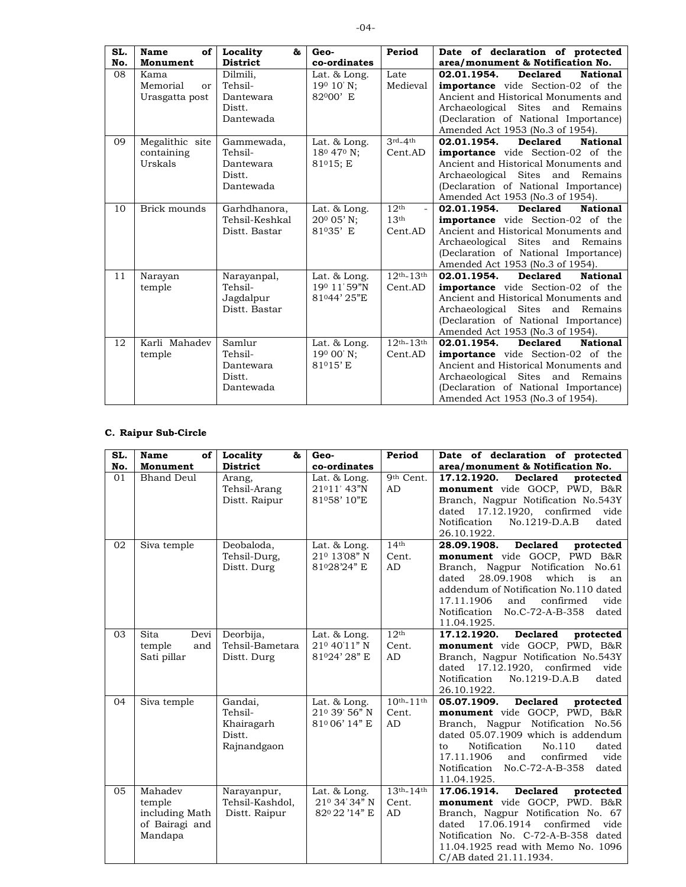| SL.<br>No. | of<br>Name<br>Monument    | Locality<br>&<br><b>District</b> | Geo-<br>co-ordinates               | Period                                       | Date of declaration of protected<br>area/monument & Notification No. |
|------------|---------------------------|----------------------------------|------------------------------------|----------------------------------------------|----------------------------------------------------------------------|
|            |                           |                                  |                                    |                                              |                                                                      |
| 08         | Kama                      | Dilmili,                         | Lat. & Long.                       | Late                                         | 02.01.1954.<br><b>Declared</b><br><b>National</b>                    |
|            | Memorial<br><sub>or</sub> | Tehsil-                          | 190 10' N:                         | Medieval                                     | <b>importance</b> vide Section-02 of the                             |
|            | Urasgatta post            | Dantewara                        | 82000' E                           |                                              | Ancient and Historical Monuments and                                 |
|            |                           | Distt.                           |                                    |                                              | Archaeological Sites and Remains                                     |
|            |                           | Dantewada                        |                                    |                                              | (Declaration of National Importance)                                 |
|            |                           |                                  |                                    |                                              | Amended Act 1953 (No.3 of 1954).                                     |
| 09         | Megalithic site           | Gammewada,                       | Lat. & Long.                       | $3rd-4th$                                    | 02.01.1954.<br><b>Declared</b><br><b>National</b>                    |
|            | containing                | Tehsil-                          | 18 <sup>0</sup> 47 <sup>0</sup> N: | Cent.AD                                      | <b>importance</b> vide Section-02 of the                             |
|            | Urskals                   | Dantewara                        | $81^{\circ}15; E$                  |                                              | Ancient and Historical Monuments and                                 |
|            |                           | Distt.                           |                                    |                                              | Archaeological Sites and Remains                                     |
|            |                           | Dantewada                        |                                    |                                              | (Declaration of National Importance)                                 |
|            |                           |                                  |                                    |                                              | Amended Act 1953 (No.3 of 1954).                                     |
| 10         | Brick mounds              | Garhdhanora,                     | Lat. & Long.                       | 12 <sup>th</sup><br>$\overline{\phantom{a}}$ | 02.01.1954.<br><b>Declared</b><br><b>National</b>                    |
|            |                           | Tehsil-Keshkal                   | 200 05' N:                         | 13 <sup>th</sup>                             | <b>importance</b> vide Section-02 of the                             |
|            |                           | Distt. Bastar                    | 81035' E                           | Cent.AD                                      | Ancient and Historical Monuments and                                 |
|            |                           |                                  |                                    |                                              | Archaeological Sites and Remains                                     |
|            |                           |                                  |                                    |                                              | (Declaration of National Importance)                                 |
|            |                           |                                  |                                    |                                              | Amended Act 1953 (No.3 of 1954).                                     |
| 11         | Narayan                   | Narayanpal,                      | Lat. & Long.                       | $12th-13th$                                  | 02.01.1954.<br><b>Declared</b><br><b>National</b>                    |
|            | temple                    | Tehsil-                          | 190 11'59"N                        | Cent.AD                                      | <b>importance</b> vide Section-02 of the                             |
|            |                           | Jagdalpur                        | 81044'25"E                         |                                              | Ancient and Historical Monuments and                                 |
|            |                           | Distt. Bastar                    |                                    |                                              | Archaeological Sites and Remains                                     |
|            |                           |                                  |                                    |                                              | (Declaration of National Importance)                                 |
|            |                           |                                  |                                    |                                              | Amended Act 1953 (No.3 of 1954).                                     |
| 12         | Karli Mahadev             | Samlur                           | Lat. & Long.                       | $12th-13th$                                  | <b>Declared</b><br>02.01.1954.<br><b>National</b>                    |
|            | temple                    | Tehsil-                          | $19^{\circ}$ 00' N;                | Cent.AD                                      | <b>importance</b> vide Section-02 of the                             |
|            |                           | Dantewara                        | 81015'E                            |                                              | Ancient and Historical Monuments and                                 |
|            |                           | Distt.                           |                                    |                                              | Archaeological Sites and Remains                                     |
|            |                           | Dantewada                        |                                    |                                              | (Declaration of National Importance)                                 |
|            |                           |                                  |                                    |                                              | Amended Act 1953 (No.3 of 1954).                                     |

## **C.** Raipur Sub-Circle

| SL. | Name<br>of                                                       | Locality<br>85                                            | Geo-                                          | Period                             | Date of declaration of protected                                                                                                                                                                                                                                                                          |
|-----|------------------------------------------------------------------|-----------------------------------------------------------|-----------------------------------------------|------------------------------------|-----------------------------------------------------------------------------------------------------------------------------------------------------------------------------------------------------------------------------------------------------------------------------------------------------------|
| No. | Monument                                                         | <b>District</b>                                           | co-ordinates                                  |                                    | area/monument & Notification No.                                                                                                                                                                                                                                                                          |
| 01  | <b>Bhand Deul</b>                                                | Arang,<br>Tehsil-Arang<br>Distt. Raipur                   | Lat. & Long.<br>21011' 43"N<br>81058'10"E     | 9th Cent.<br>AD                    | 17.12.1920.<br><b>Declared</b><br>protected<br>monument vide GOCP, PWD, B&R<br>Branch, Nagpur Notification No.543Y<br>dated $17.12.1920$ , confirmed<br>vide<br>Notification<br>dated<br>No.1219-D.A.B<br>26.10.1922.                                                                                     |
| 02  | Siva temple                                                      | Deobaloda,<br>Tehsil-Durg,<br>Distt. Durg                 | Lat. & Long.<br>210 13'08" N<br>81028'24" E   | 14 <sup>th</sup><br>Cent.<br>AD    | 28.09.1908.<br><b>Declared</b><br>protected<br>monument vide GOCP, PWD B&R<br>Nagpur Notification No.61<br>Branch,<br>28.09.1908<br>which<br>dated<br>is<br>an<br>addendum of Notification No.110 dated<br>17.11.1906<br>and<br>confirmed<br>vide<br>Notification No.C-72-A-B-358<br>dated<br>11.04.1925. |
| 03  | Sita<br>Devi<br>temple<br>and<br>Sati pillar                     | Deorbija,<br>Tehsil-Bametara<br>Distt. Durg               | Lat. & Long.<br>210 40'11" N<br>81024'28" E   | 12 <sup>th</sup><br>Cent.<br>AD    | <b>Declared</b><br>17.12.1920.<br>protected<br>monument vide GOCP, PWD, B&R<br>Branch, Nagpur Notification No.543Y<br>dated $17.12.1920$ , confirmed<br>vide<br>Notification<br>No.1219-D.A.B<br>dated<br>26.10.1922.                                                                                     |
| 04  | Siva temple                                                      | Gandai,<br>Tehsil-<br>Khairagarh<br>Distt.<br>Rajnandgaon | Lat. & Long.<br>210 39' 56" N<br>81006'14" E  | $10^{th} - 11^{th}$<br>Cent.<br>AD | 05.07.1909.<br><b>Declared</b><br>protected<br>monument vide GOCP, PWD, B&R<br>Branch, Nagpur Notification No.56<br>dated 05.07.1909 which is addendum<br>Notification<br>No.110<br>dated<br>to<br>17.11.1906<br>confirmed<br>vide<br>and<br>Notification No.C-72-A-B-358<br>dated<br>11.04.1925.         |
| 05  | Mahadev<br>temple<br>including Math<br>of Bairagi and<br>Mandapa | Narayanpur,<br>Tehsil-Kashdol,<br>Distt. Raipur           | Lat. & Long.<br>210 34' 34" N<br>82º 22'14" E | $13th - 14th$<br>Cent.<br>AD       | <b>Declared</b><br>17.06.1914.<br>protected<br>monument vide GOCP, PWD. B&R<br>Branch, Nagpur Notification No. 67<br>17.06.1914<br>confirmed<br>vide<br>dated<br>Notification No. C-72-A-B-358 dated<br>11.04.1925 read with Memo No. 1096<br>C/AB dated 21.11.1934.                                      |

 $-04-$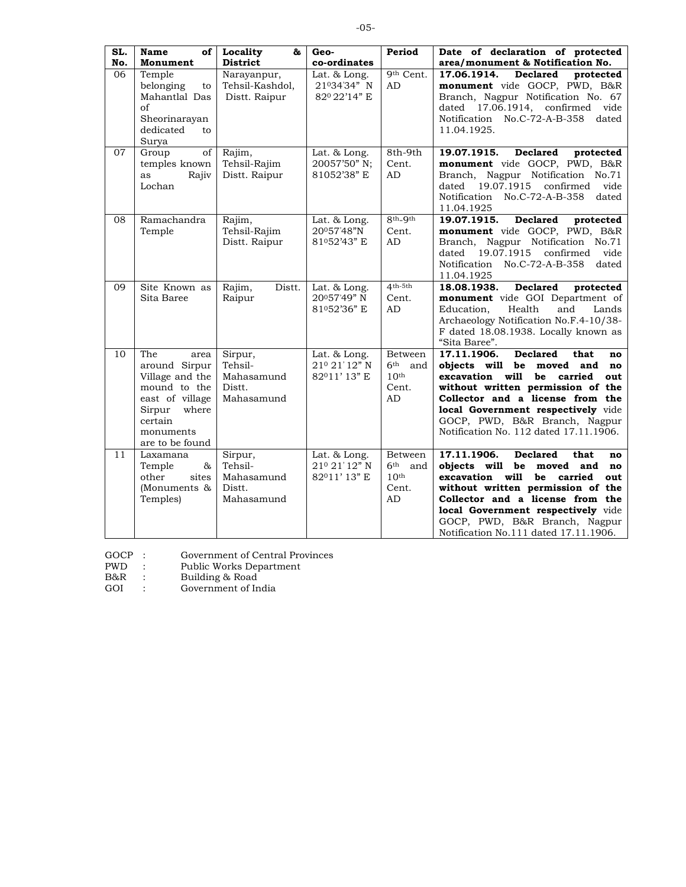| SL.<br>No. | <b>Name</b><br>of<br>Monument                                                                                                                    | Locality<br>&<br><b>District</b>                         | Geo-<br>co-ordinates                           | Period                                                               | Date of declaration of protected<br>area/monument & Notification No.                                                                                                                                                                                                                                                       |
|------------|--------------------------------------------------------------------------------------------------------------------------------------------------|----------------------------------------------------------|------------------------------------------------|----------------------------------------------------------------------|----------------------------------------------------------------------------------------------------------------------------------------------------------------------------------------------------------------------------------------------------------------------------------------------------------------------------|
| 06         | Temple<br>belonging<br>to<br>Mahantlal Das<br>of<br>Sheorinarayan<br>dedicated<br>to<br>Surya                                                    | Narayanpur,<br>Tehsil-Kashdol,<br>Distt. Raipur          | Lat. & Long.<br>21034'34" N<br>820 22'14" E    | 9th Cent.<br>AD                                                      | 17.06.1914.<br><b>Declared</b><br>protected<br>monument vide GOCP, PWD, B&R<br>Branch, Nagpur Notification No. 67<br>dated 17.06.1914, confirmed vide<br>Notification No.C-72-A-B-358 dated<br>11.04.1925.                                                                                                                 |
| 07         | of<br>Group<br>temples known<br>Rajiv<br>as<br>Lochan                                                                                            | Rajim,<br>Tehsil-Rajim<br>Distt. Raipur                  | Lat. $\&$ Long.<br>20057'50" N;<br>81052'38" E | 8th-9th<br>Cent.<br>AD                                               | <b>Declared</b><br>19.07.1915.<br>protected<br>monument vide GOCP, PWD, B&R<br>Branch, Nagpur Notification No.71<br>19.07.1915 confirmed<br>dated<br>vide<br>Notification No.C-72-A-B-358<br>dated<br>11.04.1925                                                                                                           |
| 08         | Ramachandra<br>Temple                                                                                                                            | Rajim,<br>Tehsil-Rajim<br>Distt. Raipur                  | Lat. & Long.<br>20057'48"N<br>81052'43" E      | 8th <sub>-9th</sub><br>Cent.<br>AD                                   | <b>Declared</b><br>19.07.1915.<br>protected<br>monument vide GOCP, PWD, B&R<br>Branch, Nagpur Notification No.71<br>19.07.1915 confirmed vide<br>dated<br>Notification No.C-72-A-B-358<br>dated<br>11.04.1925                                                                                                              |
| 09         | Site Known as<br>Sita Baree                                                                                                                      | Rajim,<br>Distt.<br>Raipur                               | Lat. & Long.<br>20057'49" N<br>81052'36" E     | $4th-5th$<br>Cent.<br>AD                                             | <b>Declared</b><br>18.08.1938.<br>protected<br>monument vide GOI Department of<br>and<br>Education.<br>Health<br>Lands<br>Archaeology Notification No.F.4-10/38-<br>F dated 18.08.1938. Locally known as<br>"Sita Baree".                                                                                                  |
| 10         | The<br>area<br>around Sirpur<br>Village and the<br>mound to the<br>east of village<br>Sirpur<br>where<br>certain<br>monuments<br>are to be found | Sirpur,<br>Tehsil-<br>Mahasamund<br>Distt.<br>Mahasamund | Lat. & Long.<br>210 21'12" N<br>82011'13" E    | Between<br>6 <sup>th</sup><br>and<br>10 <sup>th</sup><br>Cent.<br>AD | 17.11.1906.<br><b>Declared</b><br>that<br>no<br>objects will be moved<br>and<br>no<br>will<br>excavation<br>be<br>carried<br>out<br>without written permission of the<br>Collector and a license from the<br>local Government respectively vide<br>GOCP, PWD, B&R Branch, Nagpur<br>Notification No. 112 dated 17.11.1906. |
| 11         | Laxamana<br>Temple<br>&<br>other<br>sites<br>(Monuments &<br>Temples)                                                                            | Sirpur,<br>Tehsil-<br>Mahasamund<br>Distt.<br>Mahasamund | Lat. & Long.<br>210 21'12" N<br>82011'13" E    | Between<br>6 <sup>th</sup><br>and<br>10 <sup>th</sup><br>Cent.<br>AD | 17.11.1906.<br><b>Declared</b><br>that<br>no<br>objects will be moved and<br>no<br>excavation will<br>be carried<br>out<br>without written permission of the<br>Collector and a license from the<br>local Government respectively vide<br>GOCP, PWD, B&R Branch, Nagpur<br>Notification No.111 dated 17.11.1906.           |

GOCP : Government of Central Provinces GOCP : Government of Centr<br>
PWD : Public Works Depart:<br>
B&R : Building & Road<br>
GOI : Government of India

PWD : Public Works Department

B&R : Building & Road

 $-05-$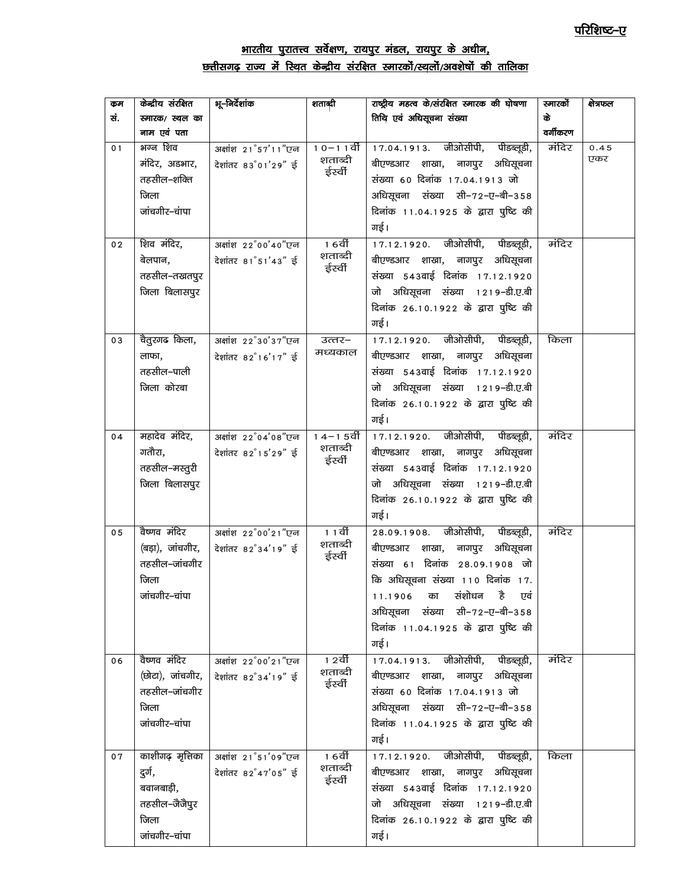# <u>भारतीय पुरातत्त्व सर्वेक्षण, रायपुर मंडल, रायपुर के अधीन,</u> क्तीसगढ़ राज्य में स्थित केन्द्रीय संरक्षित स्मारकों/स्थलों/अवशेषों की तालिका

| कुम            | केन्द्रीय संरक्षित | भू–निर्देशांक       | शताब्दी            | राष्ट्रीय महत्व के/संरक्षित स्मारक की घोषणा | स्मारको  | क्षेत्रफल |
|----------------|--------------------|---------------------|--------------------|---------------------------------------------|----------|-----------|
| सं.            | स्मारक/ स्थल का    |                     |                    | तिथि एवं अधिसूचना संख्या                    | के       |           |
|                | नाम एवं पता        |                     |                    |                                             | वर्गीकरण |           |
| 01             | भग्न शिव           | अक्षांश 21°57'11"एन | $10 - 11$ र्वी     | 17.04.1913. जीओसीपी, पीडब्लूडी,             | मंदिर    | 0.45      |
|                | मंदिर, अडभार,      | देशांतर 83°01'29" ई | शताब्दी            | बीएण्डआर शाखा, नागपुर अधिसूचना              |          | एकर       |
|                | तहसील–शक्ति        |                     | ईर्स्वी            | संख्या 60 दिनांक 17.04.1913 जो              |          |           |
|                | जिला               |                     |                    | अधिसूचना संख्या सी-72-ए-बी-358              |          |           |
|                | जांचगीर–चंापा      |                     |                    | दिनांक 11.04.1925 के द्वारा पुष्टि की       |          |           |
|                |                    |                     |                    | गई।                                         |          |           |
| 02             | शिव मंदिर,         | अक्षांश 22°00'40"एन | 1 6वीं             | 17.12.1920. जीओसीपी, पीडब्लूडी,             | मंदिर    |           |
|                | बेलपान,            | देशांतर 81°51'43" ई | शताब्दी            | बीएण्डआर शाखा, नागपुर अधिसूचना              |          |           |
|                | तहसील–तखतपुर       |                     | ईर्स्वी            | संख्या 543वाई दिनांक 17.12.1920             |          |           |
|                | जिला बिलासपुर      |                     |                    | जो अधिसूचना संख्या 1219-डी.ए.बी             |          |           |
|                |                    |                     |                    |                                             |          |           |
|                |                    |                     |                    | दिनांक 26.10.1922 के द्वारा पुष्टि की       |          |           |
|                |                    |                     |                    | गई।                                         |          |           |
| 03             | चैतुरगढ किला,      | अक्षांश 22°30'37"एन | उत्तर–             | 17.12.1920. जीओसीपी, पीडब्लूडी,             | किला     |           |
|                | लाफा,              | देशांतर 82°16'17" ई | मध्यकाल            | बीएण्डआर शाखा, नागपुर अधिसूचना              |          |           |
|                | तहसील–पाली         |                     |                    | संख्या 543वाई दिनांक 17.12.1920             |          |           |
|                | जिला कोरबा         |                     |                    | जो अधिसूचना संख्या 1219-डी.ए.बी             |          |           |
|                |                    |                     |                    | दिनांक 26.10.1922 के द्वारा पुष्टि की       |          |           |
|                |                    |                     |                    | गई।                                         |          |           |
| 04             | महादेव मंदिर,      | अक्षांश 22°04'08"एन | 1 4 – 1 5 वीं      | 17.12.1920. जीओसीपी, पीडब्लूडी,             | मंदिर    |           |
|                | गतौरा,             | देशांतर 82°15'29" ई | शताब्दी            | बीएण्डआर शाखा, नागपुर अधिसूचना              |          |           |
|                | तहसील–मस्तुरी      |                     | ईर्स्वी            | संख्या 543वाई दिनांक 17.12.1920             |          |           |
|                | जिला बिलासपुर      |                     |                    | जो अधिसूचना संख्या 1219-डी.ए.बी             |          |           |
|                |                    |                     |                    | दिनांक 26.10.1922 के द्वारा पुष्टि की       |          |           |
|                |                    |                     |                    | गई।                                         |          |           |
| 0 <sub>5</sub> | वैष्णव मंदिर       | अक्षांश 22°00'21"एन | <u>11वीं</u>       | 28.09.1908. जीओसीपी, पीडब्लूडी,             | मंदिर    |           |
|                | (बड़ा), जांचगीर,   | देशांतर 82°34'19" ई | शताब्दी            | बीएण्डआर शाखा, नागपुर अधिसूचना              |          |           |
|                | तहसील–जांचगीर      |                     | ईर्स्वी            | संख्या 61 दिनांक 28.09.1908 जो              |          |           |
|                | जिला               |                     |                    | कि अधिसूचना संख्या 110 दिनांक 17.           |          |           |
|                | जांचगीर–चांपा      |                     |                    | 11.1906 का संशोधन है एवं                    |          |           |
|                |                    |                     |                    | अधिसूचना संख्या सी-72-ए-बी-358              |          |           |
|                |                    |                     |                    | दिनांक 11.04.1925 के द्वारा पुष्टि की       |          |           |
|                |                    |                     |                    | गई।                                         |          |           |
|                | वैष्णव मंदिर       |                     | 1 2वीं             |                                             | मंदिर    |           |
| 06             |                    | अक्षांश 22°00'21"एन | शताब्दी            | 17.04.1913. जीओसीपी, पीडब्लूडी,             |          |           |
|                | (छोटा), जांचगीर,   | देशांतर 82°34'19" ई | ईस्वी              | बीएण्डआर शाखा, नागपुर अधिसूचना              |          |           |
|                | तहसील–जांचगीर      |                     |                    | संख्या 60 दिनांक 17.04.1913 जो              |          |           |
|                | जिला               |                     |                    | अधिसूचना संख्या सी-72-ए-बी-358              |          |           |
|                | जांचगीर-चांपा      |                     |                    | दिनांक 11.04.1925 के द्वारा पुष्टि की       |          |           |
|                |                    |                     |                    | गई।                                         |          |           |
| 07             | काशीगढ़ मृत्तिका   | अक्षांश 21°51'09"एन | 1 6वीं             | 17.12.1920. जीओसीपी, पीडब्लूडी,             | किला     |           |
|                | दुर्ग,             | देशांतर 82°47'05" ई | शताब्दी<br>ईर्स्वी | बीएण्डआर शाखा, नागपुर अधिसूचना              |          |           |
|                | बवानबाड़ी,         |                     |                    | संख्या 543वाई दिनांक 17.12.1920             |          |           |
|                | तहसील–जैजैपुर      |                     |                    | जो अधिसूचना संख्या 1219-डी.ए.बी             |          |           |
|                | जिला               |                     |                    | दिनांक 26.10.1922 के द्वारा पुष्टि की       |          |           |
|                | जांचगीर-चांपा      |                     |                    | गई।                                         |          |           |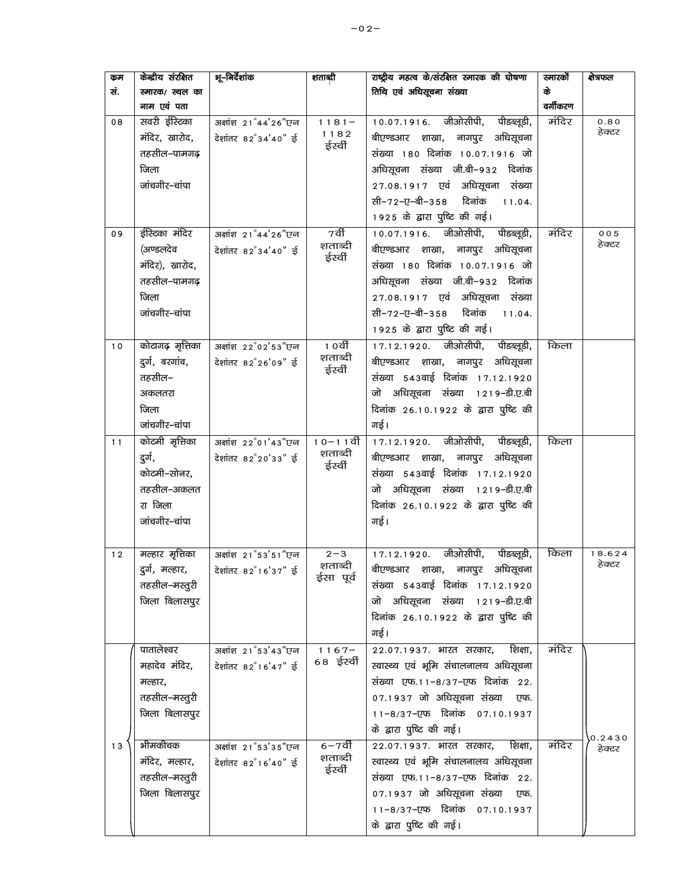| कम  | केन्द्रीय संरक्षित | भू–निर्देशांक       | शताब्दी                   | राष्ट्रीय महत्व के/संरक्षित स्मारक की घोषणा | स्मारको  | क्षेत्रफल        |
|-----|--------------------|---------------------|---------------------------|---------------------------------------------|----------|------------------|
| सं. | स्मारक/ स्थल का    |                     |                           | तिथि एवं अधिसूचना संख्या                    | के       |                  |
|     | नाम एवं पता        |                     |                           |                                             | वर्गीकरण |                  |
| 08  | सवरी ईस्टिका       | अक्षांश 21°44'26"एन | $1181 -$                  | 10.07.1916. जीओसीपी,<br>पीडब्लूडी,          | मंदिर    | 0.80             |
|     | मंदिर, खारोद,      | देशांतर 82°34'40" ई | 1182                      | बीएण्डआर शाखा, नागपुर अधिसूचना              |          | हेक्टर           |
|     | तहसील–पामगढ़       |                     | ईर्स्वी                   | संख्या 180 दिनांक 10.07.1916 जो             |          |                  |
|     | जिला               |                     |                           | अधिसूचना संख्या जी.बी–९३२ दिनांक            |          |                  |
|     | जांचगीर–चांपा      |                     |                           | 27.08.1917 एवं अधिसूचना संख्या              |          |                  |
|     |                    |                     |                           | सी−72−ए−बी−358<br>दिनांक<br>11.04.          |          |                  |
|     |                    |                     |                           | 1925 के द्वारा पुष्टि की गई।                |          |                  |
| 09  | ईरिटका मंदिर       | अक्षांश 21°44'26"एन | 7वीं                      | 10.07.1916. जीओसीपी, पीडब्लूडी,             | मंदिर    | 005              |
|     | (अण्डलदेव          | देशांतर 82°34'40" ई | शताब्दी                   | बीएण्डआर शाखा, नागपुर अधिसूचना              |          | हेक्टर           |
|     | मंदिर), खारोद,     |                     | ईर्स्वी                   | संख्या 180 दिनांक 10.07.1916 जो             |          |                  |
|     | तहसील–पामगढ़       |                     |                           | अधिसूचना संख्या जी.बी–९३२ दिनांक            |          |                  |
|     | जिला               |                     |                           | 27.08.1917 एवं अधिसूचना संख्या              |          |                  |
|     | जांचगीर-चांपा      |                     |                           | सी-72-ए-बी-358 दिनांक<br>11.04.             |          |                  |
|     |                    |                     |                           | 1925 के द्वारा पुष्टि की गई।                |          |                  |
| 10  | कोटागढ़ मृत्तिका   | अक्षांश 22°02'53"एन | <u>1</u> 0वीं             | 17.12.1920. जीओसीपी, पीडब्लूडी,             | किला     |                  |
|     | दुर्ग, बरगांव,     | देशांतर 82°26'09" ई | शताब्दी                   | बीएण्डआर शाखा, नागपुर अधिसूचना              |          |                  |
|     | तहसील–             |                     | ईर्स्वी                   | संख्या 543वाई दिनांक 17.12.1920             |          |                  |
|     | अकलतरा             |                     |                           | जो अधिसूचना संख्या 1219-डी.ए.बी             |          |                  |
|     |                    |                     |                           |                                             |          |                  |
|     | जिला               |                     |                           | दिनांक 26.10.1922 के द्वारा पुष्टि की       |          |                  |
|     | जांचगीर-चांपा      |                     |                           | गई।                                         |          |                  |
| 11  | कोटमी मृत्तिका     | अक्षांश 22°01'43"एन | $10 - 11$ र्वी<br>शताब्दी | 17.12.1920. जीओसीपी, पीडब्लूडी,             | किला     |                  |
|     | दुर्ग,             | देशांतर 82°20'33" ई | ईर्स्वी                   | बीएण्डआर शाखा, नागपुर अधिसूचना              |          |                  |
|     | कोटमी-सोनर,        |                     |                           | संख्या 543वाई दिनांक 17.12.1920             |          |                  |
|     | तहसील–अकलत         |                     |                           | जो अधिसूचना संख्या 1219-डी.ए.बी             |          |                  |
|     | रा जिला            |                     |                           | दिनांक 26.10.1922 के द्वारा पुष्टि की       |          |                  |
|     | जांचगीर-चांपा      |                     |                           | गई।                                         |          |                  |
|     |                    |                     |                           |                                             |          |                  |
| 12  | मल्हार मृत्तिका    | अक्षांश 21°53'51"एन | $2 - 3$                   | 17.12.1920. जीओसीपी, पीडब्लूडी,             | किला     | 18.624           |
|     | दुर्ग, मल्हार,     | देशांतर 82°16'37" ई | शताब्दी<br>ईसा पूर्व      | अधिसूचना<br>बीएण्डआर शाखा,<br>नागपुर        |          | हेक्टर           |
|     | तहसील–मस्तुरी      |                     |                           | संख्या 543वाई दिनांक 17.12.1920             |          |                  |
|     | जिला बिलासपुर      |                     |                           | जो अधिसूचना संख्या 1219-डी.ए.बी             |          |                  |
|     |                    |                     |                           | दिनांक 26.10.1922 के द्वारा पुष्टि की       |          |                  |
|     |                    |                     |                           | गई।                                         |          |                  |
|     | पातालेश्वर         | अक्षांश 21°53'43"एन | $\frac{1}{1}$ 1 6 7 –     | शिक्षा,<br>22.07.1937. भारत सरकार,          | मंदिर    |                  |
|     | महादेव मंदिर,      | देशांतर 82°16'47" ई | 68 ईर्स्वी                | स्वास्थ्य एवं भूमि संचालनालय अधिसूचना       |          |                  |
|     | मल्हार,            |                     |                           | संख्या एफ.11-8/37-एफ दिनांक 22.             |          |                  |
|     | तहसील–मस्तुरी      |                     |                           | 07.1937 जो अधिसूचना संख्या<br>एफ.           |          |                  |
|     | जिला बिलासपुर      |                     |                           | 11-8/37-एफ दिनांक 07.10.1937                |          |                  |
|     |                    |                     |                           | के द्वारा पुष्टि की गई।                     |          |                  |
| 13  | भीमकीचक            | अक्षांश 21°53'35"एन | 6–7वीं                    | 22.07.1937. भारत सरकार,<br>शिक्षा,          | मंदिर    | 0.2430<br>हेक्टर |
|     | मंदिर, मल्हार,     | देशांतर 82°16'40" ई | शताब्दी                   | स्वास्थ्य एवं भूमि संचालनालय अधिसूचना       |          |                  |
|     | तहसील–मस्तुरी      |                     | ईर्स्वी                   | संख्या एफ.11-8/37-एफ दिनांक 22.             |          |                  |
|     | जिला बिलासपुर      |                     |                           | 07.1937 जो अधिसूचना संख्या<br>एफ.           |          |                  |
|     |                    |                     |                           | 11-8/37-एफ दिनांक 07.10.1937                |          |                  |
|     |                    |                     |                           |                                             |          |                  |
|     |                    |                     |                           | के द्वारा पुष्टि की गई।                     |          |                  |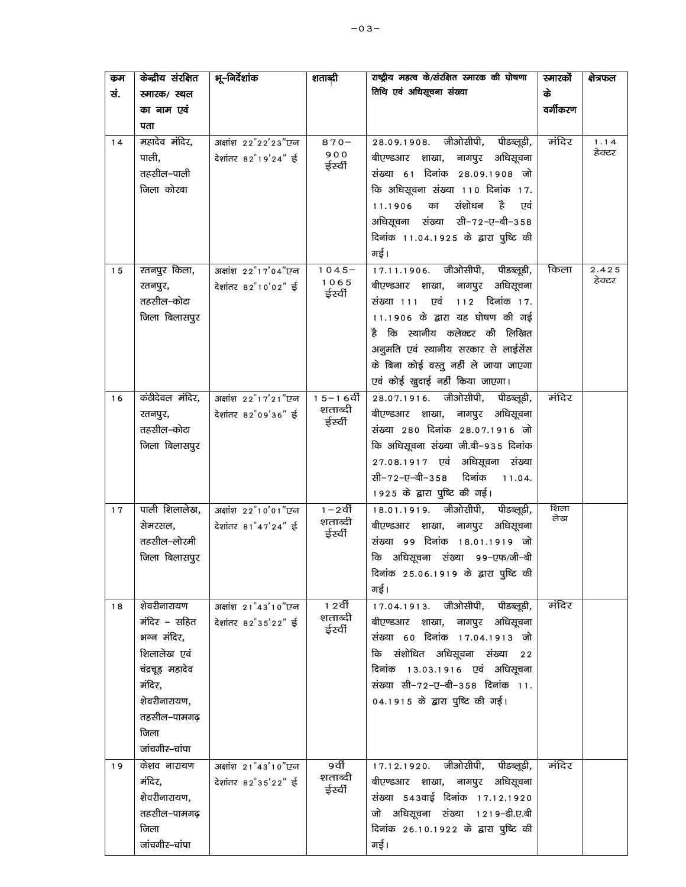| कम  | केन्द्रीय संरक्षित     | भू–निर्देशांक       | शताब्दी                 | राष्ट्रीय महत्व के/संरक्षित स्मारक की घोषणा                              | स्मारकों    | क्षेत्रफल |
|-----|------------------------|---------------------|-------------------------|--------------------------------------------------------------------------|-------------|-----------|
| सं. | स्मारक/ स्थल           |                     |                         | तिथि एवं अधिसूचना संख्या                                                 | के          |           |
|     | का नाम एवं             |                     |                         |                                                                          | वर्गीकरण    |           |
|     | पता                    |                     |                         |                                                                          |             |           |
| 14  | महादेव मंदिर,          | अक्षांश 22°22'23"एन | $870 -$                 | 28.09.1908. जीओसीपी,<br>पीडब्लूडी,                                       | मंदिर       | 1.14      |
|     | पाली,                  | देशांतर 82°19'24" ई | 900<br>ईर्स्वी          | बीएण्डआर शाखा, नागपुर अधिसूचना                                           |             | हेक्टर    |
|     | तहसील–पाली             |                     |                         | संख्या 61 दिनांक 28.09.1908 जो                                           |             |           |
|     | जिला कोरबा             |                     |                         | कि अधिसूचना संख्या 110 दिनांक 17.                                        |             |           |
|     |                        |                     |                         | संशोधन<br>है<br>का<br>11.1906<br>एवं                                     |             |           |
|     |                        |                     |                         | अधिसूचना संख्या सी-72-ए-बी-358                                           |             |           |
|     |                        |                     |                         | दिनांक 11.04.1925 के द्वारा पुष्टि की                                    |             |           |
|     |                        |                     |                         | गई।                                                                      |             |           |
| 15  | रतनपुर किला,           | अक्षांश 22°17'04"एन | $1045 -$                | 17.11.1906. जीओसीपी, पीडब्लूडी,                                          | किला        | 2.425     |
|     | रतनपुर,                | देशांतर 82°10'02" ई | 1065<br>ईर्स्वी         | नागपुर अधिसूचना<br>बीएण्डआर शाखा,                                        |             | हेक्टर    |
|     | तहसील–कोटा             |                     |                         | 112 दिनांक 17.<br>संख्या १११ एवं                                         |             |           |
|     | जिला बिलासपुर          |                     |                         | 11.1906 के द्वारा यह घोषण की गई                                          |             |           |
|     |                        |                     |                         | है कि स्थानीय कलेक्टर की लिखित                                           |             |           |
|     |                        |                     |                         | अनुमति एवं स्थानीय सरकार से लाईसेंस                                      |             |           |
|     |                        |                     |                         | के बिना कोई वस्तु नहीं ले जाया जाएगा                                     |             |           |
|     |                        |                     |                         | एवं कोई खुदाई नहीं किया जाएगा।                                           |             |           |
| 16  | कंठीदेवल मंदिर,        | अक्षांश 22°17'21"एन | $15 - 16$ र्वी          | 28.07.1916. जीओसीपी, पीडब्लूडी,                                          | मंदिर       |           |
|     | रतनपुर,                | देशांतर 82°09'36" ई | शताब्दी<br>ईर्स्वी      | बीएण्डआर शाखा, नागपुर अधिसूचना                                           |             |           |
|     | तहसील–कोटा             |                     |                         | संख्या 280 दिनांक 28.07.1916 जो                                          |             |           |
|     | जिला बिलासपुर          |                     |                         | कि अधिसूचना संख्या जी.बी-935 दिनांक                                      |             |           |
|     |                        |                     |                         | 27.08.1917 एवं अधिसूचना संख्या                                           |             |           |
|     |                        |                     |                         | सी−72−ए−बी−358<br>दिनांक<br>11.04.                                       |             |           |
|     |                        |                     |                         | 1925 के द्वारा पुष्टि की गई।                                             |             |           |
| 17  | पाली शिलालेख,          | अक्षांश 22°10'01"एन | $1 - 2$ र्वी<br>शताब्दी | 18.01.1919. जीओसीपी,<br>पीडब्लूडी,                                       | शिला<br>लेख |           |
|     | सेमरसल,                | देशांतर 81°47'24" ई | ईर्स्वी                 | अधिसूचना<br>बीएण्डआर शाखा, नागपुर                                        |             |           |
|     | तहसील–लोरमी            |                     |                         | संख्या 99 दिनांक 18.01.1919 जो                                           |             |           |
|     | जिला बिलासपुर          |                     |                         | कि अधिसूचना संख्या 99-एफ/जी-बी                                           |             |           |
|     |                        |                     |                         | दिनांक 25.06.1919 के द्वारा पुष्टि की                                    |             |           |
|     |                        |                     |                         | गई।                                                                      |             |           |
| 18  | शेवरीनारायण            | अक्षांश 21°43'10"एन | 1 2वीं<br>शताब्दी       | 17.04.1913. जीओसीपी, पीडब्लूडी,                                          | मंदिर       |           |
|     | मंदिर – सहित           | देशांतर 82°35'22" ई | ईर्स्वी                 | बीएण्डआर शाखा, नागपुर अधिसूचना                                           |             |           |
|     | भग्न मंदिर,            |                     |                         | संख्या 60 दिनांक 17.04.1913 जो                                           |             |           |
|     | शिलालेख एवं            |                     |                         | कि संशोधित अधिसूचना संख्या 22                                            |             |           |
|     | चंद्रचूड़ महादेव       |                     |                         | दिनांक 13.03.1916 एवं अधिसूचना<br>संख्या सी-72-ए-बी-358 दिनांक 11.       |             |           |
|     | मंदिर,<br>शेवरीनारायण, |                     |                         |                                                                          |             |           |
|     | तहसील–पामगढ़           |                     |                         | 04.1915 के द्वारा पुष्टि की गई।                                          |             |           |
|     | जिला                   |                     |                         |                                                                          |             |           |
|     | जांचगीर–चांपा          |                     |                         |                                                                          |             |           |
|     |                        |                     | 9वीं                    |                                                                          | मंदिर       |           |
| 19  | केशव नारायण<br>मंदिर,  | अक्षांश 21°43'10"एन | शताब्दी                 | 17.12.1920. जीओसीपी, पीडब्लूडी,                                          |             |           |
|     | शेवरीनारायण,           | देशांतर 82°35'22" ई | ईर्स्वी                 | बीएण्डआर शाखा, नागपुर अधिसूचना<br>संख्या 543वाई दिनांक 17.12.1920        |             |           |
|     | तहसील–पामगढ़           |                     |                         |                                                                          |             |           |
|     | जिला                   |                     |                         | जो अधिसूचना संख्या 1219-डी.ए.बी<br>दिनांक 26.10.1922 के द्वारा पुष्टि की |             |           |
|     | जांचगीर–चांपा          |                     |                         | गई।                                                                      |             |           |
|     |                        |                     |                         |                                                                          |             |           |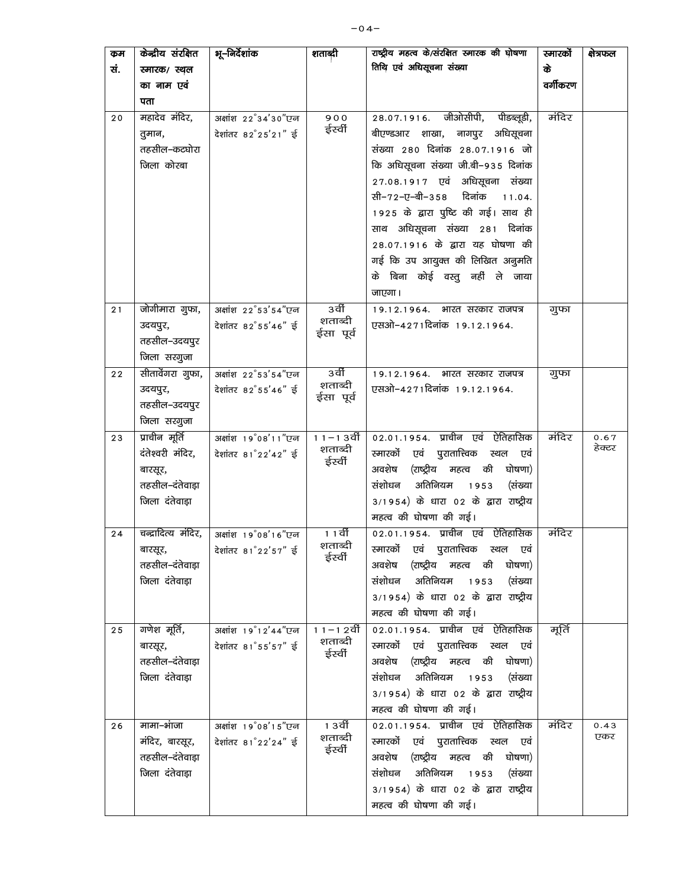| कम  | केन्द्रीय संरक्षित  | भू–निदेशांक                      | शताब्दी                 | राष्ट्रीय महत्व के/संरक्षित स्मारक की घोषणा                                 | स्नारको  | क्षेत्रफल      |
|-----|---------------------|----------------------------------|-------------------------|-----------------------------------------------------------------------------|----------|----------------|
| सं. | स्मारक/ स्थल        |                                  |                         | तिथि एवं अधिसूचना संख्या                                                    | के       |                |
|     | का नाम एवं          |                                  |                         |                                                                             | वर्गीकरण |                |
|     | पता                 |                                  |                         |                                                                             |          |                |
| 20  | महादेव मंदिर,       | अक्षांश 22°34'30"एन              | 900                     | 28.07.1916. जीओसीपी,<br>पीडब्लूडी,                                          | मंदिर    |                |
|     | तुमान,              | देशांतर 82°25'21" ई              | ईर्स्वी                 | बीएण्डआर शाखा, नागपुर अधिसूचना                                              |          |                |
|     | तहसील–कटघोरा        |                                  |                         | संख्या 280 दिनांक 28.07.1916 जो                                             |          |                |
|     | जिला कोरबा          |                                  |                         | कि अधिसूचना संख्या जी.बी-935 दिनांक                                         |          |                |
|     |                     |                                  |                         | 27.08.1917 एवं अधिसूचना संख्या                                              |          |                |
|     |                     |                                  |                         | सी-72-ए-बी-358 दिनांक<br>11.04.                                             |          |                |
|     |                     |                                  |                         | 1925 के द्वारा पुष्टि की गई। साथ ही                                         |          |                |
|     |                     |                                  |                         | साथ अधिसूचना संख्या 281 दिनांक                                              |          |                |
|     |                     |                                  |                         | 28.07.1916 के द्वारा यह घोषणा की                                            |          |                |
|     |                     |                                  |                         | गई कि उप आयुक्त की लिखित अनुमति                                             |          |                |
|     |                     |                                  |                         | के बिना कोई वस्तु नहीं ले जाया                                              |          |                |
|     |                     |                                  |                         | जाएगा।                                                                      |          |                |
| 21  | जोगीमारा गुफा,      | अक्षांश 22°53'54"एन              | 3वीं                    | 19.12.1964. भारत सरकार राजपत्र                                              | गुफा     |                |
|     | उदयपुर,             | देशांतर 82°55'46" ई              | शताब्दी                 | एसओ-4271दिनांक 19.12.1964.                                                  |          |                |
|     | तहसील–उदयपुर        |                                  | ईसा पूर्व               |                                                                             |          |                |
|     | जिला सरगुजा         |                                  |                         |                                                                             |          |                |
| 22  | सीतावेंगरा गुफा,    | अक्षांश 22°53'54"एन              | 3वीं                    | 19.12.1964.<br>भारत सरकार राजपत्र                                           | गुफा     |                |
|     | उदयपुर,             | देशांतर 82°55'46" ई              | शताब्दी<br>ईसा पूर्व    | एसओ–4271दिनांक 19.12.1964.                                                  |          |                |
|     | तहसील–उदयपुर        |                                  |                         |                                                                             |          |                |
|     | जिला सरगुजा         |                                  |                         |                                                                             |          |                |
| 23  | प्राचीन मूर्ति      | अक्षांश 19 <sup>°</sup> 08'11"एन | $11 - 13$ वीं           | 02.01.1954. प्राचीन एवं ऐतिहासिक                                            | मंदिर    | 0.67<br>हेक्टर |
|     | दंतेश्वरी मंदिर,    | देशांतर 81°22'42" ई              | शताब्दी<br>ईर्स्वी      | स्मारकों एवं पुरातात्त्विक स्थल<br>एवं                                      |          |                |
|     | बारसूर,             |                                  |                         | (राष्ट्रीय महत्व की<br>अवशेष<br>घोषणा)                                      |          |                |
|     | तहसील–दंतेवाड़ा     |                                  |                         | संशोधन<br>अतिनियम 1953<br>(संख्या                                           |          |                |
|     | जिला दंतेवाड़ा      |                                  |                         | 3/1954) के धारा 02 के द्वारा राष्ट्रीय                                      |          |                |
|     |                     |                                  |                         | महत्व की घोषणा की गई।                                                       |          |                |
| 24  | चन्द्रादित्य मंदिर, | अक्षांश 19°08'16"एन              | 1 1 वीं<br>शताब्दी      | 02.01.1954. प्राचीन एवं ऐतिहासिक                                            | मंदिर    |                |
|     | बारसूर,             | देशांतर 81°22'57" ई              | ईर्स्वी                 | स्मारकों एवं पुरातात्त्विक स्थल एवं                                         |          |                |
|     | तहसील–दंतेवाड़ा     |                                  |                         | अवशेष (राष्ट्रीय महत्व की<br>घोषणा)                                         |          |                |
|     | जिला दंतेवाड़ा      |                                  |                         | अतिनियम 1953<br>संशोधन<br>(संख्या                                           |          |                |
|     |                     |                                  |                         | 3/1954) के धारा 02 के द्वारा राष्ट्रीय                                      |          |                |
|     |                     |                                  |                         | महत्व की घोषणा की गई।                                                       |          |                |
| 25  | गणेश मूर्ति,        | अक्षांश 19°12'44"एन              | $11 - 12$ ਬੀ<br>शताब्दी | 02.01.1954. प्राचीन एवं ऐतिहासिक                                            | मूर्ति   |                |
|     | बारसूर,             | देशांतर 81°55'57" ई              | ईर्स्वी                 | स्मारकों एवं पुरातात्त्विक स्थल एवं                                         |          |                |
|     | तहसील–दंतेवाड़ा     |                                  |                         | अवशेष (राष्ट्रीय महत्व की घोषणा)                                            |          |                |
|     | जिला दंतेवाड़ा      |                                  |                         | संशोधन<br>अतिनियम 1953<br>(संख्या<br>3/1954) के धारा 02 के द्वारा राष्ट्रीय |          |                |
|     |                     |                                  |                         | महत्व की घोषणा की गई।                                                       |          |                |
|     | मामा–भांजा          | अक्षांश 19°08'15"एन              | १ ३वीं                  | 02.01.1954. प्राचीन एवं ऐतिहासिक                                            | मंदिर    | 0.43           |
| 26  | मंदिर, बारसूर,      | देशांतर 81°22'24" ई              | शताब्दी                 | स्मारकों एवं पुरातात्त्विक स्थल एवं                                         |          | एकर            |
|     | तहसील–दंतेवाड़ा     |                                  | ईर्स्वी                 | (राष्ट्रीय महत्व की<br>घोषणा)<br>अवशेष                                      |          |                |
|     | जिला दंतेवाड़ा      |                                  |                         | संशोधन अतिनियम 1953<br>(संख्या                                              |          |                |
|     |                     |                                  |                         | 3/1954) के धारा 02 के द्वारा राष्ट्रीय                                      |          |                |
|     |                     |                                  |                         | महत्व की घोषणा की गई।                                                       |          |                |
|     |                     |                                  |                         |                                                                             |          |                |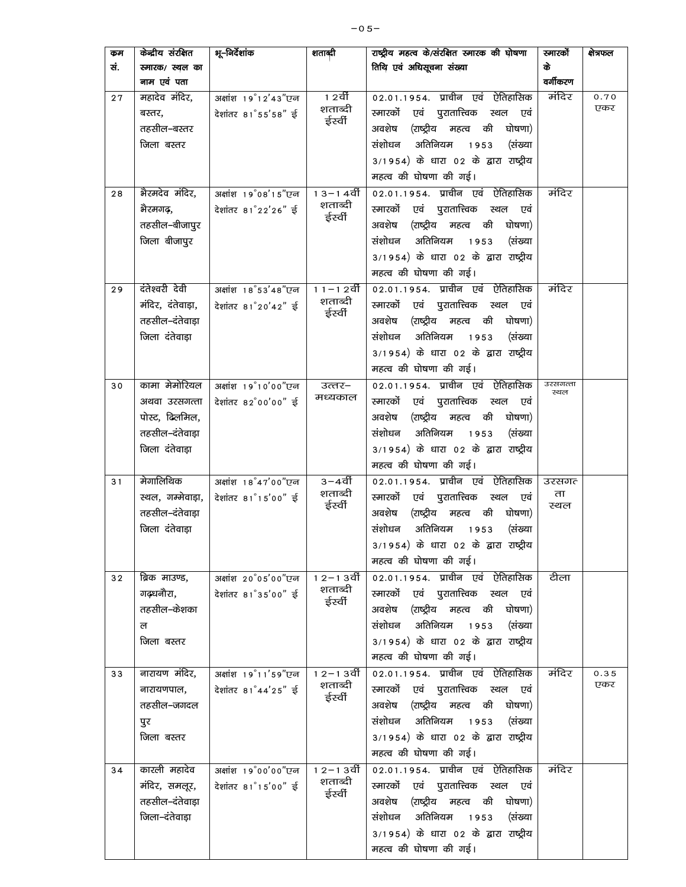| कम  | केन्द्रीय संरक्षित | भू–निर्देशांक                                 | शताब्दी            | राष्ट्रीय महत्व के/संरक्षित स्मारक की घोषणा | स्मारको          | क्षेत्रफल   |
|-----|--------------------|-----------------------------------------------|--------------------|---------------------------------------------|------------------|-------------|
| सं. | स्मारक/ स्थल का    |                                               |                    | तिथि एवं अधिसूचना संख्या                    | के               |             |
|     | नाम एवं पता        |                                               |                    |                                             | वर्गीकरण         |             |
| 27  | महादेव मंदिर,      | अक्षांश 19°12'43"एन                           | 1 2वीं<br>शताब्दी  | 02.01.1954. प्राचीन एवं ऐतिहासिक            | मंदिर            | 0.70<br>एकर |
|     | बस्तर,             | देशांतर 81°55'58" ई                           | ईर्स्वी            | स्मारकों<br>एवं पुरातात्त्विक स्थल एवं      |                  |             |
|     | तहसील–बस्तर        |                                               |                    | (राष्ट्रीय महत्व की घोषणा)<br>अवशेष         |                  |             |
|     | जिला बस्तर         |                                               |                    | संशोधन<br>अतिनियम<br>(संख्या<br>1953        |                  |             |
|     |                    |                                               |                    | 3/1954) के धारा 02 के द्वारा राष्ट्रीय      |                  |             |
|     |                    |                                               |                    | महत्व की घोषणा की गई।                       |                  |             |
| 28  | भैरमदेव मंदिर,     | अक्षांश 19 <sup>°</sup> 08′15″एन              | $13 - 14$ वीं      | 02.01.1954. प्राचीन एवं ऐतिहासिक            | मंदिर            |             |
|     | भैरमगढ़,           | देशांतर 81°22'26" ई                           | शताब्दी<br>ईर्स्वी | स्मारकों एवं पुरातात्त्विक स्थल एवं         |                  |             |
|     | तहसील–बीजापुर      |                                               |                    | (राष्ट्रीय महत्व की<br>घोषणा)<br>अवशेष      |                  |             |
|     | जिला बीजापुर       |                                               |                    | अतिनियम<br>संशोधन<br>1953<br>(संख्या        |                  |             |
|     |                    |                                               |                    | 3/1954) के धारा 02 के द्वारा राष्ट्रीय      |                  |             |
|     |                    |                                               |                    | महत्व की घोषणा की गई।                       |                  |             |
| 29  | दंतेश्वरी देवी     | अक्षांश 18 <sup>°</sup> 53 <sup>'48"</sup> एन | $11 - 12$ र्वी     | 02.01.1954. प्राचीन एवं ऐतिहासिक            | मंदिर            |             |
|     | मंदिर, दंतेवाड़ा,  | देशांतर 81°20'42" ई                           | शताब्दी<br>ईर्स्वी | स्मारकों एवं पुरातात्त्विक स्थल एवं         |                  |             |
|     | तहसील–दंतेवाड़ा    |                                               |                    | (राष्ट्रीय महत्व की घोषणा)<br>अवशेष         |                  |             |
|     | जिला दंतेवाड़ा     |                                               |                    | संशोधन अतिनियम 1953<br>(संख्या              |                  |             |
|     |                    |                                               |                    | 3/1954) के धारा 02 के द्वारा राष्ट्रीय      |                  |             |
|     |                    |                                               |                    | महत्व की घोषणा की गई।                       |                  |             |
| 30  | कामा मेमोरियल      | अक्षांश 19°10'00"एन                           | उत्तर–             | 02.01.1954. प्राचीन एवं ऐतिहासिक            | उरसगत्ता<br>स्थल |             |
|     | अथवा उरसगत्ता      | देशांतर 82°00'00" ई                           | मध्यकाल            | स्मारकों एवं पुरातात्त्विक स्थल एवं         |                  |             |
|     | पोस्ट, ढिलमिल,     |                                               |                    | अवशेष<br>(राष्ट्रीय महत्व की<br>घोषणा)      |                  |             |
|     | तहसील–दंतेवाड़ा    |                                               |                    | संशोधन<br>अतिनियम 1953<br>(संख्या           |                  |             |
|     | जिला दंतेवाड़ा     |                                               |                    | 3/1954) के धारा 02 के द्वारा राष्ट्रीय      |                  |             |
|     |                    |                                               |                    | महत्व की घोषणा की गई।                       |                  |             |
| 31  | मेगालिथिक          | अक्षांश 18°47'00"एन                           | 3–4वीं             | 02.01.1954. प्राचीन एवं ऐतिहासिक            | उरसगत            |             |
|     | स्थल, गम्मेवाड़ा,  | देशांतर 81°15'00" ई                           | शताब्दी<br>ईर्स्वी | स्मारकों एवं पुरातात्त्विक स्थल एवं         | ता               |             |
|     | तहसील–दंतेवाड़ा    |                                               |                    | (राष्ट्रीय महत्व की<br>अवशेष<br>घोषणा)      | स्थल             |             |
|     | जिला दंतेवाड़ा     |                                               |                    | अतिनियम<br>संशोधन<br>1953<br>(संख्या        |                  |             |
|     |                    |                                               |                    | 3/1954) के धारा 02 के द्वारा राष्ट्रीय      |                  |             |
|     |                    |                                               |                    | महत्व की घोषणा की गई।                       |                  |             |
| 32  | ब्रिक माउण्ड,      | अक्षांश 20°05'00"एन                           | 1 2–1 3वीं         | 02.01.1954. प्राचीन एवं ऐतिहासिक            | टीला             |             |
|     | गढ़धनौरा,          | देशांतर 81°35'00" ई                           | शताब्दी            | स्मारकों एवं पुरातात्त्विक स्थल एवं         |                  |             |
|     | तहसील–केशका        |                                               | ईर्स्वी            | (राष्ट्रीय महत्व की घोषणा)<br>अवशेष         |                  |             |
|     | ल                  |                                               |                    | संशोधन अतिनियम 1953<br>(संख्या              |                  |             |
|     | जिला बस्तर         |                                               |                    | 3/1954) के धारा 02 के द्वारा राष्ट्रीय      |                  |             |
|     |                    |                                               |                    | महत्व की घोषणा की गई।                       |                  |             |
| 33  | नारायण मंदिर,      | अक्षांश 19 <sup>°</sup> 11 <sup>'59"</sup> एन | 1 2 – 1 3वीं       | 02.01.1954. प्राचीन एवं ऐतिहासिक            | मंदिर            | 0.35        |
|     | नारायणपाल,         | देशांतर 81°44'25" ई                           | शताब्दी<br>ईर्स्वी | स्मारकों एवं पुरातात्त्विक स्थल एवं         |                  | एकर         |
|     | तहसील–जगदल         |                                               |                    | (राष्ट्रीय महत्व की घोषणा)<br>अवशेष         |                  |             |
|     | पुर                |                                               |                    | संशोधन अतिनियम 1953<br>(संख्या              |                  |             |
|     | जिला बस्तर         |                                               |                    | 3/1954) के धारा 02 के द्वारा राष्ट्रीय      |                  |             |
|     |                    |                                               |                    | महत्व की घोषणा की गई।                       |                  |             |
| 34  | कारली महादेव       | अक्षांश 19°00'00"एन                           | 1 2–1 3वीं         | 02.01.1954. प्राचीन एवं ऐतिहासिक            | मंदिर            |             |
|     | मंदिर, समलूर,      | देशांतर 81°15'00" ई                           | शताब्दी<br>ईर्स्वी | स्मारकों एवं पुरातात्त्विक स्थल एवं         |                  |             |
|     | तहसील–दंतेवाड़ा    |                                               |                    | अवशेष (राष्ट्रीय महत्व की घोषणा)            |                  |             |
|     | जिला-दंतेवाड़ा     |                                               |                    | संशोधन<br>अतिनियम 1953<br>(संख्या           |                  |             |
|     |                    |                                               |                    | 3/1954) के धारा 02 के द्वारा राष्ट्रीय      |                  |             |
|     |                    |                                               |                    | महत्व की घोषणा की गई।                       |                  |             |
|     |                    |                                               |                    |                                             |                  |             |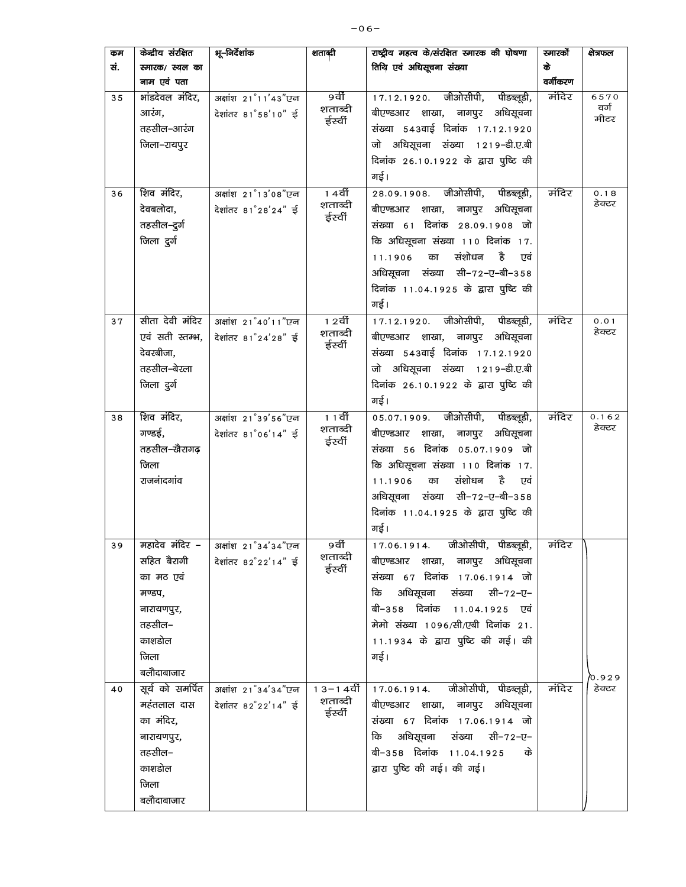| कम<br>सं. | केन्द्रीय संरक्षित<br>स्मारक/ स्थल का<br>नाम एवं पता                                                         | भू–निर्देशांक                              | शताब्दी                          | राष्ट्रीय महत्व के/संरक्षित स्मारक की घोषणा<br>तिथि एवं अधिसूचना संख्या                                                                                                                                                                                                  | स्मारको<br>के<br>वर्गीकरण | क्षेत्रफल            |
|-----------|--------------------------------------------------------------------------------------------------------------|--------------------------------------------|----------------------------------|--------------------------------------------------------------------------------------------------------------------------------------------------------------------------------------------------------------------------------------------------------------------------|---------------------------|----------------------|
| 35        | भांडदेवल मंदिर,<br>आरंग,<br>तहसील–आरंग<br>जिला–रायपुर                                                        | अक्षांश 21°11'43"एन<br>देशांतर 81°58'10" ई | 9वीं<br>शताब्दी<br>ईर्स्वी       | 17.12.1920. जीओसीपी,<br>पीडब्लूडी,<br>बीएण्डआर शाखा, नागपुर अधिसूचना<br>संख्या 543वाई दिनांक 17.12.1920<br>जो अधिसूचना संख्या 1219-डी.ए.बी<br>दिनांक 26.10.1922 के द्वारा पुष्टि की<br>गई।                                                                               | मंदिर                     | 6570<br>वर्ग<br>मीटर |
| 36        | शिव मंदिर,<br>देवबलोदा,<br>तहसील–दुर्ग<br>जिला दुर्ग                                                         | अक्षांश 21°13'08"एन<br>देशांतर 81°28'24" ई | 1 4वीं<br>शताब्दी<br>ईर्स्वी     | 28.09.1908. जीओसीपी, पीडब्लूडी,<br>बीएण्डआर शाखा, नागपुर अधिसूचना<br>संख्या 61 दिनांक 28.09.1908 जो<br>कि अधिसूचना संख्या 110 दिनांक 17.<br>संशोधन<br>है<br>11.1906<br>एवं<br>का<br>अधिसूचना संख्या सी-72-ए-बी-358<br>दिनांक 11.04.1925 के द्वारा पुष्टि की<br>गई।       | मंदिर                     | 0.18<br>हेक्टर       |
| 37        | सीता देवी मंदिर<br>एवं सती स्तम्भ,<br>देवरबीजा,<br>तहसील–बेरला<br>जिला दुर्ग                                 | अक्षांश 21°40'11"एन<br>देशांतर 81°24'28" ई | 1 2वीं<br>शताब्दी<br>ईर्स्वी     | 17.12.1920. जीओसीपी, पीडब्लूडी,<br>बीएण्डआर शाखा, नागपुर अधिसूचना<br>संख्या 543वाई दिनांक 17.12.1920<br>जो अधिसूचना संख्या 1219-डी.ए.बी<br>दिनांक 26.10.1922 के द्वारा पुष्टि की<br>गई।                                                                                  | मंदिर                     | 0.01<br>हेक्टर       |
| 38        | शिव मंदिर,<br>गण्डई,<br>तहसील–खैरागढ़<br>जिला<br>राजनांदगांव                                                 | अक्षांश 21°39'56"एन<br>देशांतर 81°06'14" ई | 11वीं<br>शताब्दी<br>ईर्स्वी      | 05.07.1909. जीओसीपी, पीडब्लूडी,<br>नागपुर<br>अधिसूचना<br>बीएण्डआर शाखा,<br>संख्या 56 दिनांक 05.07.1909 जो<br>कि अधिसूचना संख्या 110 दिनांक 17.<br>संशोधन<br>है<br>11.1906<br>का<br>एवं<br>अधिसूचना संख्या सी–72–ए–बी–358<br>दिनांक 11.04.1925 के द्वारा पुष्टि की<br>गई। | मंदिर                     | 0.162<br>हेक्टर      |
| 39        | महादेव मंदिर –<br>सहित बैरागी<br>का मठ एवं<br>मण्डप,<br>नारायणपुर,<br>तहसील–<br>काशडोल<br>जिला<br>बलौदाबाजार | अक्षांश 21°34'34"एन<br>देशांतर 82°22'14" ई | 9वीं<br>शताब्दी<br>ईर्स्वी       | 17.06.1914. जीओसीपी, पीडब्लूडी,<br>बीएण्डआर शाखा, नागपुर अधिसूचना<br>संख्या 67 दिनांक 17.06.1914 जो<br>अधिसूचना संख्या सी-72-ए-<br>कि<br>बी–358 दिनांक 11.04.1925 एवं<br>मेमो संख्या 1096/सी/एबी दिनांक 21.<br>11.1934 के द्वारा पुष्टि की गई। की<br>गई।                 | मंदिर                     | o.929                |
| 40        | सूर्य को समर्पित<br>महंतलाल दास<br>का मंदिर,<br>नारायणपुर,<br>तहसील–<br>काशडोल<br>जिला<br>बलौदाबाजार         | अक्षांश 21°34'34"एन<br>देशांतर 82°22'14" ई | 1 3–1 4वीं<br>शताब्दी<br>ईर्स्वी | 17.06.1914. जीओसीपी, पीडब्लूडी,<br>बीएण्डआर शाखा, नागपुर अधिसूचना<br>संख्या 67 दिनांक 17.06.1914 जो<br>अधिसूचना संख्या सी-72-ए-<br>कि<br>बी–358 दिनांक 11.04.1925<br>के<br>द्वारा पुष्टि की गई। की गई।                                                                   | मंदिर                     | हेक्टर               |